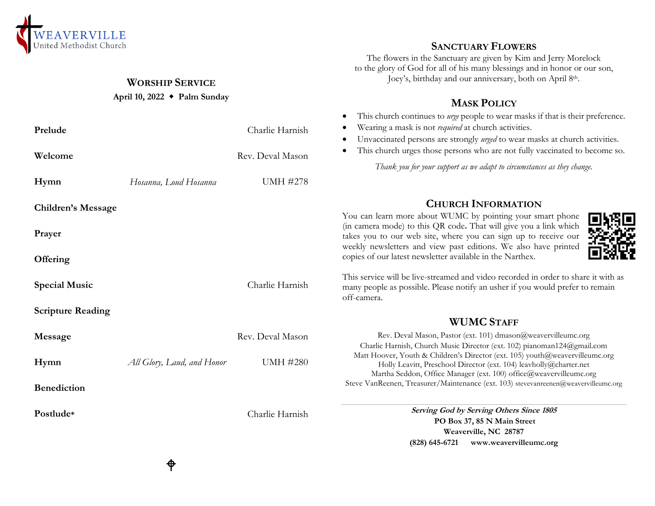

#### **WORSHIP SERVICE**

#### **April 10, 2022 Palm Sunday**

| Prelude                   |                            | Charlie Harnish  | Wearing a mask is not <i>required</i> at church activities.<br>Unvaccinated persons are strongly urged to wear masks at church activities.<br>This church urges those persons who are not fully vaccinated to become so.<br>Thank you for your support as we adapt to circumstances as they change. |
|---------------------------|----------------------------|------------------|-----------------------------------------------------------------------------------------------------------------------------------------------------------------------------------------------------------------------------------------------------------------------------------------------------|
| Welcome                   |                            | Rev. Deval Mason |                                                                                                                                                                                                                                                                                                     |
| Hymn                      | Hosanna, Loud Hosanna      | <b>UMH #278</b>  |                                                                                                                                                                                                                                                                                                     |
| <b>Children's Message</b> |                            |                  | <b>CHURCH INFORMATION</b><br>You can learn more about WUMC by pointing your smart phone                                                                                                                                                                                                             |
| Prayer                    |                            |                  | (in camera mode) to this QR code. That will give you a link which<br>takes you to our web site, where you can sign up to receive our<br>weekly newsletters and view past editions. We also have printed                                                                                             |
| Offering                  |                            |                  | copies of our latest newsletter available in the Narthex.                                                                                                                                                                                                                                           |
| <b>Special Music</b>      |                            | Charlie Harnish  | This service will be live-streamed and video recorded in order to share it with as<br>many people as possible. Please notify an usher if you would prefer to remain<br>off-camera.                                                                                                                  |
| <b>Scripture Reading</b>  |                            |                  |                                                                                                                                                                                                                                                                                                     |
|                           |                            |                  | <b>WUMC STAFF</b>                                                                                                                                                                                                                                                                                   |
| Message                   |                            | Rev. Deval Mason | Rev. Deval Mason, Pastor (ext. 101) dmason@weavervilleumc.org                                                                                                                                                                                                                                       |
| Hymn                      | All Glory, Laud, and Honor | <b>UMH #280</b>  | Charlie Harnish, Church Music Director (ext. 102) pianoman124@gmail.com<br>Matt Hoover, Youth & Children's Director (ext. 105) youth@weavervilleumc.org<br>Holly Leavitt, Preschool Director (ext. 104) leavholly@charter.net<br>Martha Seddon, Office Manager (ext. 100) office@weavervilleumc.org |
| <b>Benediction</b>        |                            |                  | Steve VanReenen, Treasurer/Maintenance (ext. 103) stevevanreenen@weavervilleumc.org                                                                                                                                                                                                                 |
| Postlude*                 |                            | Charlie Harnish  | Serving God by Serving Others Since 1805<br>PO Box 37, 85 N Main Street                                                                                                                                                                                                                             |
|                           |                            |                  | Weaverville, NC 28787                                                                                                                                                                                                                                                                               |
|                           |                            |                  | (828) 645-6721 www.weavervilleumc.org                                                                                                                                                                                                                                                               |

## **SANCTUARY FLOWERS**

The flowers in the Sanctuary are given by Kim and Jerry Morelock to the glory of God for all of his many blessings and in honor or our son, Joey's, birthday and our anniversary, both on April 8th.

# **MASK POLICY**

- This church continues to *urge* people to wear masks if that is their preference.
- Unvaccinated persons are strongly *urged* to wear masks at church activities.
- This church urges those persons who are not fully vaccinated to become so.